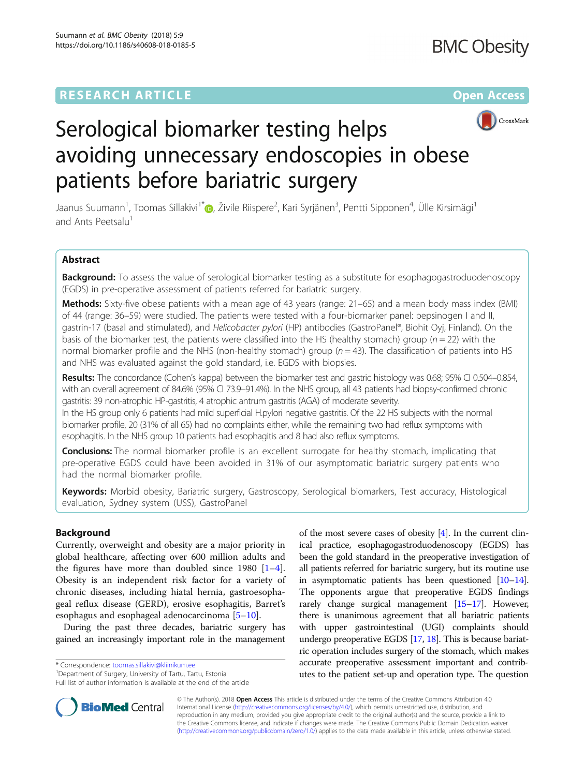## **RESEARCH ARTICLE Example 2018 12:00 Department of the CONNECTION CONNECTION CONNECTION CONNECTION CONNECTION**



# Serological biomarker testing helps avoiding unnecessary endoscopies in obese patients before bariatric surgery

Jaanus Suumann<sup>1</sup>, Toomas Sillakivi<sup>1[\\*](http://orcid.org/0000-0003-3761-384X)</sup>®, Živile Riispere<sup>2</sup>, Kari Syrjänen<sup>3</sup>, Pentti Sipponen<sup>4</sup>, Ülle Kirsimägi<sup>1</sup> and Ants Peetsalu<sup>1</sup>

## Abstract

Background: To assess the value of serological biomarker testing as a substitute for esophagogastroduodenoscopy (EGDS) in pre-operative assessment of patients referred for bariatric surgery.

Methods: Sixty-five obese patients with a mean age of 43 years (range: 21–65) and a mean body mass index (BMI) of 44 (range: 36–59) were studied. The patients were tested with a four-biomarker panel: pepsinogen I and II, gastrin-17 (basal and stimulated), and Helicobacter pylori (HP) antibodies (GastroPanel®, Biohit Oyj, Finland). On the basis of the biomarker test, the patients were classified into the HS (healthy stomach) group ( $n = 22$ ) with the normal biomarker profile and the NHS (non-healthy stomach) group ( $n = 43$ ). The classification of patients into HS and NHS was evaluated against the gold standard, i.e. EGDS with biopsies.

Results: The concordance (Cohen's kappa) between the biomarker test and gastric histology was 0.68; 95% CI 0.504-0.854, with an overall agreement of 84.6% (95% CI 73.9–91.4%). In the NHS group, all 43 patients had biopsy-confirmed chronic gastritis: 39 non-atrophic HP-gastritis, 4 atrophic antrum gastritis (AGA) of moderate severity.

In the HS group only 6 patients had mild superficial H.pylori negative gastritis. Of the 22 HS subjects with the normal biomarker profile, 20 (31% of all 65) had no complaints either, while the remaining two had reflux symptoms with esophagitis. In the NHS group 10 patients had esophagitis and 8 had also reflux symptoms.

**Conclusions:** The normal biomarker profile is an excellent surrogate for healthy stomach, implicating that pre-operative EGDS could have been avoided in 31% of our asymptomatic bariatric surgery patients who had the normal biomarker profile.

Keywords: Morbid obesity, Bariatric surgery, Gastroscopy, Serological biomarkers, Test accuracy, Histological evaluation, Sydney system (USS), GastroPanel

## Background

Currently, overweight and obesity are a major priority in global healthcare, affecting over 600 million adults and the figures have more than doubled since 1980  $[1-4]$  $[1-4]$  $[1-4]$  $[1-4]$ . Obesity is an independent risk factor for a variety of chronic diseases, including hiatal hernia, gastroesophageal reflux disease (GERD), erosive esophagitis, Barret's esophagus and esophageal adenocarcinoma [\[5](#page-6-0)–[10\]](#page-6-0).

During the past three decades, bariatric surgery has gained an increasingly important role in the management

\* Correspondence: [toomas.sillakivi@kliinikum.ee](mailto:toomas.sillakivi@kliinikum.ee) <sup>1</sup>

<sup>1</sup> Department of Surgery, University of Tartu, Tartu, Estonia

Full list of author information is available at the end of the article

of the most severe cases of obesity [[4](#page-6-0)]. In the current clinical practice, esophagogastroduodenoscopy (EGDS) has been the gold standard in the preoperative investigation of all patients referred for bariatric surgery, but its routine use in asymptomatic patients has been questioned [[10](#page-6-0)–[14](#page-7-0)]. The opponents argue that preoperative EGDS findings rarely change surgical management [\[15](#page-7-0)–[17](#page-7-0)]. However, there is unanimous agreement that all bariatric patients with upper gastrointestinal (UGI) complaints should undergo preoperative EGDS [[17](#page-7-0), [18\]](#page-7-0). This is because bariatric operation includes surgery of the stomach, which makes accurate preoperative assessment important and contributes to the patient set-up and operation type. The question



© The Author(s). 2018 Open Access This article is distributed under the terms of the Creative Commons Attribution 4.0 International License [\(http://creativecommons.org/licenses/by/4.0/](http://creativecommons.org/licenses/by/4.0/)), which permits unrestricted use, distribution, and reproduction in any medium, provided you give appropriate credit to the original author(s) and the source, provide a link to the Creative Commons license, and indicate if changes were made. The Creative Commons Public Domain Dedication waiver [\(http://creativecommons.org/publicdomain/zero/1.0/](http://creativecommons.org/publicdomain/zero/1.0/)) applies to the data made available in this article, unless otherwise stated.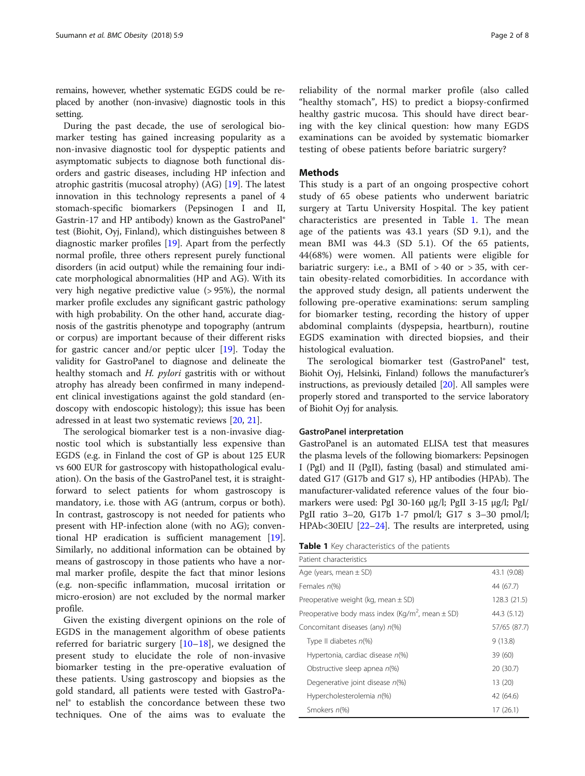remains, however, whether systematic EGDS could be replaced by another (non-invasive) diagnostic tools in this setting.

During the past decade, the use of serological biomarker testing has gained increasing popularity as a non-invasive diagnostic tool for dyspeptic patients and asymptomatic subjects to diagnose both functional disorders and gastric diseases, including HP infection and atrophic gastritis (mucosal atrophy) (AG) [[19\]](#page-7-0). The latest innovation in this technology represents a panel of 4 stomach-specific biomarkers (Pepsinogen I and II, Gastrin-17 and HP antibody) known as the GastroPanel® test (Biohit, Oyj, Finland), which distinguishes between 8 diagnostic marker profiles [[19](#page-7-0)]. Apart from the perfectly normal profile, three others represent purely functional disorders (in acid output) while the remaining four indicate morphological abnormalities (HP and AG). With its very high negative predictive value (> 95%), the normal marker profile excludes any significant gastric pathology with high probability. On the other hand, accurate diagnosis of the gastritis phenotype and topography (antrum or corpus) are important because of their different risks for gastric cancer and/or peptic ulcer [\[19\]](#page-7-0). Today the validity for GastroPanel to diagnose and delineate the healthy stomach and H. pylori gastritis with or without atrophy has already been confirmed in many independent clinical investigations against the gold standard (endoscopy with endoscopic histology); this issue has been adressed in at least two systematic reviews [[20,](#page-7-0) [21\]](#page-7-0).

The serological biomarker test is a non-invasive diagnostic tool which is substantially less expensive than EGDS (e.g. in Finland the cost of GP is about 125 EUR vs 600 EUR for gastroscopy with histopathological evaluation). On the basis of the GastroPanel test, it is straightforward to select patients for whom gastroscopy is mandatory, i.e. those with AG (antrum, corpus or both). In contrast, gastroscopy is not needed for patients who present with HP-infection alone (with no AG); conventional HP eradication is sufficient management [\[19](#page-7-0)]. Similarly, no additional information can be obtained by means of gastroscopy in those patients who have a normal marker profile, despite the fact that minor lesions (e.g. non-specific inflammation, mucosal irritation or micro-erosion) are not excluded by the normal marker profile.

Given the existing divergent opinions on the role of EGDS in the management algorithm of obese patients referred for bariatric surgery  $[10-18]$  $[10-18]$  $[10-18]$  $[10-18]$ , we designed the present study to elucidate the role of non-invasive biomarker testing in the pre-operative evaluation of these patients. Using gastroscopy and biopsies as the gold standard, all patients were tested with GastroPanel® to establish the concordance between these two techniques. One of the aims was to evaluate the

reliability of the normal marker profile (also called "healthy stomach", HS) to predict a biopsy-confirmed healthy gastric mucosa. This should have direct bearing with the key clinical question: how many EGDS examinations can be avoided by systematic biomarker testing of obese patients before bariatric surgery?

## Methods

This study is a part of an ongoing prospective cohort study of 65 obese patients who underwent bariatric surgery at Tartu University Hospital. The key patient characteristics are presented in Table 1. The mean age of the patients was 43.1 years (SD 9.1), and the mean BMI was 44.3 (SD 5.1). Of the 65 patients, 44(68%) were women. All patients were eligible for bariatric surgery: i.e., a BMI of  $>40$  or  $>35$ , with certain obesity-related comorbidities. In accordance with the approved study design, all patients underwent the following pre-operative examinations: serum sampling for biomarker testing, recording the history of upper abdominal complaints (dyspepsia, heartburn), routine EGDS examination with directed biopsies, and their histological evaluation.

The serological biomarker test (GastroPanel® test, Biohit Oyj, Helsinki, Finland) follows the manufacturer's instructions, as previously detailed [\[20\]](#page-7-0). All samples were properly stored and transported to the service laboratory of Biohit Oyj for analysis.

### GastroPanel interpretation

GastroPanel is an automated ELISA test that measures the plasma levels of the following biomarkers: Pepsinogen I (PgI) and II (PgII), fasting (basal) and stimulated amidated G17 (G17b and G17 s), HP antibodies (HPAb). The manufacturer-validated reference values of the four biomarkers were used: PgI 30-160 μg/l; PgII 3-15 μg/l; PgI/ PgII ratio 3–20, G17b 1-7 pmol/l; G17 s 3–30 pmol/l; HPAb<30EIU [[22](#page-7-0)–[24\]](#page-7-0). The results are interpreted, using

Table 1 Key characteristics of the patients

| Patient characteristics                                          |              |
|------------------------------------------------------------------|--------------|
| Age (years, mean $\pm$ SD)                                       | 43.1 (9.08)  |
| Females n(%)                                                     | 44 (67.7)    |
| Preoperative weight (kg, mean $\pm$ SD)                          | 128.3(21.5)  |
| Preoperative body mass index (Kg/m <sup>2</sup> , mean $\pm$ SD) | 44.3 (5.12)  |
| Concomitant diseases (any) n(%)                                  | 57/65 (87.7) |
| Type II diabetes $n\ll 0$                                        | 9(13.8)      |
| Hypertonia, cardiac disease n(%)                                 | 39 (60)      |
| Obstructive sleep apnea $n$ (%)                                  | 20 (30.7)    |
| Degenerative joint disease $n\ll 0$                              | 13(20)       |
| Hypercholesterolemia n(%)                                        | 42 (64.6)    |
| Smokers n(%)                                                     | 17 (26.1)    |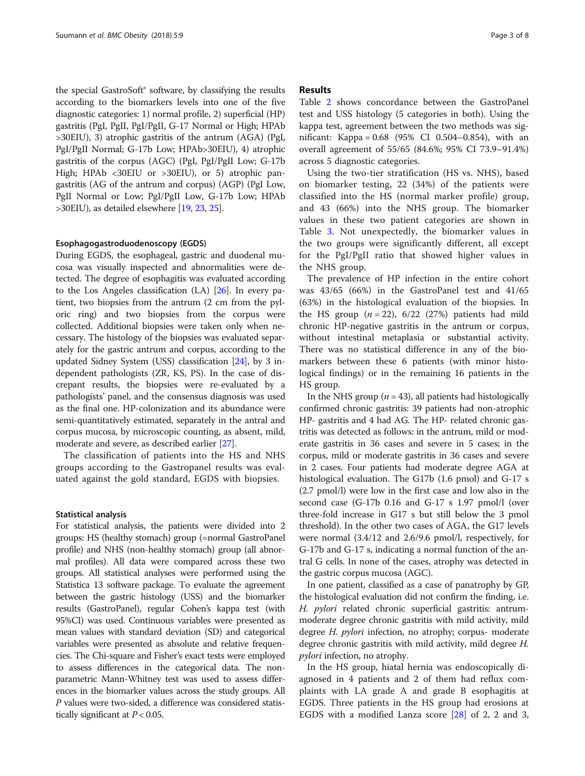the special GastroSoft® software, by classifying the results according to the biomarkers levels into one of the five diagnostic categories: 1) normal profile, 2) superficial (HP) gastritis (PgI, PgII, PgI/PgII, G-17 Normal or High; HPAb >30EIU), 3) atrophic gastritis of the antrum (AGA) (PgI, PgI/PgII Normal; G-17b Low; HPAb>30EIU), 4) atrophic gastritis of the corpus (AGC) (PgI, PgI/PgII Low; G-17b High; HPAb <30EIU or >30EIU), or 5) atrophic pangastritis (AG of the antrum and corpus) (AGP) (PgI Low, PgII Normal or Low; PgI/PgII Low, G-17b Low; HPAb >30EIU), as detailed elsewhere [\[19](#page-7-0), [23](#page-7-0), [25\]](#page-7-0).

## Esophagogastroduodenoscopy (EGDS)

During EGDS, the esophageal, gastric and duodenal mucosa was visually inspected and abnormalities were detected. The degree of esophagitis was evaluated according to the Los Angeles classification (LA) [[26](#page-7-0)]. In every patient, two biopsies from the antrum (2 cm from the pyloric ring) and two biopsies from the corpus were collected. Additional biopsies were taken only when necessary. The histology of the biopsies was evaluated separately for the gastric antrum and corpus, according to the updated Sidney System (USS) classification [\[24\]](#page-7-0), by 3 independent pathologists (ZR, KS, PS). In the case of discrepant results, the biopsies were re-evaluated by a pathologists' panel, and the consensus diagnosis was used as the final one. HP-colonization and its abundance were semi-quantitatively estimated, separately in the antral and corpus mucosa, by microscopic counting, as absent, mild, moderate and severe, as described earlier [\[27\]](#page-7-0).

The classification of patients into the HS and NHS groups according to the Gastropanel results was evaluated against the gold standard, EGDS with biopsies.

#### Statistical analysis

For statistical analysis, the patients were divided into 2 groups: HS (healthy stomach) group (=normal GastroPanel profile) and NHS (non-healthy stomach) group (all abnormal profiles). All data were compared across these two groups. All statistical analyses were performed using the Statistica 13 software package. To evaluate the agreement between the gastric histology (USS) and the biomarker results (GastroPanel), regular Cohen's kappa test (with 95%CI) was used. Continuous variables were presented as mean values with standard deviation (SD) and categorical variables were presented as absolute and relative frequencies. The Chi-square and Fisher's exact tests were employed to assess differences in the categorical data. The nonparametric Mann-Whitney test was used to assess differences in the biomarker values across the study groups. All P values were two-sided, a difference was considered statistically significant at  $P < 0.05$ .

## Results

Table [2](#page-3-0) shows concordance between the GastroPanel test and USS histology (5 categories in both). Using the kappa test, agreement between the two methods was significant: Kappa = 0.68 (95% CI 0.504–0.854), with an overall agreement of 55/65 (84.6%; 95% CI 73.9–91.4%) across 5 diagnostic categories.

Using the two-tier stratification (HS vs. NHS), based on biomarker testing, 22 (34%) of the patients were classified into the HS (normal marker profile) group, and 43 (66%) into the NHS group. The biomarker values in these two patient categories are shown in Table [3](#page-3-0). Not unexpectedly, the biomarker values in the two groups were significantly different, all except for the PgI/PgII ratio that showed higher values in the NHS group.

The prevalence of HP infection in the entire cohort was 43/65 (66%) in the GastroPanel test and 41/65 (63%) in the histological evaluation of the biopsies. In the HS group  $(n = 22)$ , 6/22 (27%) patients had mild chronic HP-negative gastritis in the antrum or corpus, without intestinal metaplasia or substantial activity. There was no statistical difference in any of the biomarkers between these 6 patients (with minor histological findings) or in the remaining 16 patients in the HS group.

In the NHS group  $(n = 43)$ , all patients had histologically confirmed chronic gastritis: 39 patients had non-atrophic HP- gastritis and 4 had AG. The HP- related chronic gastritis was detected as follows: in the antrum, mild or moderate gastritis in 36 cases and severe in 5 cases; in the corpus, mild or moderate gastritis in 36 cases and severe in 2 cases. Four patients had moderate degree AGA at histological evaluation. The G17b (1.6 pmol) and G-17 s (2.7 pmol/l) were low in the first case and low also in the second case (G-17b 0.16 and G-17 s 1.97 pmol/l (over three-fold increase in G17 s but still below the 3 pmol threshold). In the other two cases of AGA, the G17 levels were normal (3.4/12 and 2.6/9.6 pmol/l, respectively, for G-17b and G-17 s, indicating a normal function of the antral G cells. In none of the cases, atrophy was detected in the gastric corpus mucosa (AGC).

In one patient, classified as a case of panatrophy by GP, the histological evaluation did not confirm the finding, i.e. H. pylori related chronic superficial gastritis: antrummoderate degree chronic gastritis with mild activity, mild degree H. pylori infection, no atrophy; corpus- moderate degree chronic gastritis with mild activity, mild degree H. pylori infection, no atrophy.

In the HS group, hiatal hernia was endoscopically diagnosed in 4 patients and 2 of them had reflux complaints with LA grade A and grade B esophagitis at EGDS. Three patients in the HS group had erosions at EGDS with a modified Lanza score [\[28](#page-7-0)] of 2, 2 and 3,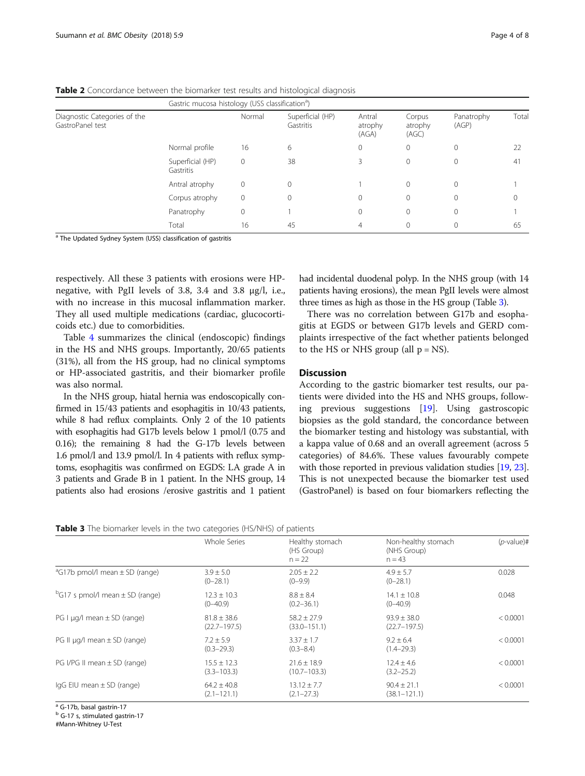| Page 4 |  |
|--------|--|
|        |  |

|                                                  | Gastric mucosa histology (USS classification <sup>a</sup> ) |               |                               |                            |                            |                     |      |
|--------------------------------------------------|-------------------------------------------------------------|---------------|-------------------------------|----------------------------|----------------------------|---------------------|------|
| Diagnostic Categories of the<br>GastroPanel test |                                                             | Normal        | Superficial (HP)<br>Gastritis | Antral<br>atrophy<br>(AGA) | Corpus<br>atrophy<br>(AGC) | Panatrophy<br>(AGP) | Tota |
|                                                  | Normal profile                                              | 16            | 6                             | $\mathbf{0}$               | $\mathbf{0}$               | 0                   | 22   |
|                                                  | Superficial (HP)<br>Gastritis                               | $\mathcal{O}$ | 38                            | 3                          |                            |                     | 41   |
|                                                  | Antral atrophy                                              | $\mathbf 0$   | 0                             |                            | 0                          | 0                   |      |
|                                                  | Corpus atrophy                                              | $\mathcal{O}$ | 0                             | 0                          |                            | 0                   |      |
|                                                  | Panatrophy                                                  | $\mathbf 0$   |                               | 0                          | 0                          | $\Omega$            |      |
|                                                  | Total                                                       | 16            | 45                            | 4                          |                            |                     | 65   |

<span id="page-3-0"></span>Table 2 Concordance between the biomarker test results and histological diagnosis

a The Updated Sydney System (USS) classification of gastritis

respectively. All these 3 patients with erosions were HPnegative, with PgII levels of 3.8, 3.4 and 3.8 μg/l, i.e., with no increase in this mucosal inflammation marker. They all used multiple medications (cardiac, glucocorticoids etc.) due to comorbidities.

Table [4](#page-4-0) summarizes the clinical (endoscopic) findings in the HS and NHS groups. Importantly, 20/65 patients (31%), all from the HS group, had no clinical symptoms or HP-associated gastritis, and their biomarker profile was also normal.

In the NHS group, hiatal hernia was endoscopically confirmed in 15/43 patients and esophagitis in 10/43 patients, while 8 had reflux complaints. Only 2 of the 10 patients with esophagitis had G17b levels below 1 pmol/l (0.75 and 0.16); the remaining 8 had the G-17b levels between 1.6 pmol/l and 13.9 pmol/l. In 4 patients with reflux symptoms, esophagitis was confirmed on EGDS: LA grade A in 3 patients and Grade B in 1 patient. In the NHS group, 14 patients also had erosions /erosive gastritis and 1 patient had incidental duodenal polyp. In the NHS group (with 14 patients having erosions), the mean PgII levels were almost three times as high as those in the HS group (Table 3).

There was no correlation between G17b and esophagitis at EGDS or between G17b levels and GERD complaints irrespective of the fact whether patients belonged to the HS or NHS group (all  $p = NS$ ).

## **Discussion**

According to the gastric biomarker test results, our patients were divided into the HS and NHS groups, following previous suggestions [\[19](#page-7-0)]. Using gastroscopic biopsies as the gold standard, the concordance between the biomarker testing and histology was substantial, with a kappa value of 0.68 and an overall agreement (across 5 categories) of 84.6%. These values favourably compete with those reported in previous validation studies [\[19,](#page-7-0) [23](#page-7-0)]. This is not unexpected because the biomarker test used (GastroPanel) is based on four biomarkers reflecting the

**Table 3** The biomarker levels in the two categories (HS/NHS) of patients

|                                                 | Whole Series                        | Healthy stomach<br>(HS Group)<br>$n = 22$ | Non-healthy stomach<br>(NHS Group)<br>$n = 43$ | $(p$ -value)# |
|-------------------------------------------------|-------------------------------------|-------------------------------------------|------------------------------------------------|---------------|
| $\mathrm{^a}$ G17b pmol/l mean $\pm$ SD (range) | $3.9 \pm 5.0$<br>$(0-28.1)$         | $2.05 \pm 2.2$<br>$(0-9.9)$               | $4.9 \pm 5.7$<br>$(0 - 28.1)$                  | 0.028         |
| $^{b}$ G17 s pmol/l mean $\pm$ SD (range)       | $12.3 \pm 10.3$<br>$(0 - 40.9)$     | $8.8 \pm 8.4$<br>$(0.2 - 36.1)$           | $14.1 \pm 10.8$<br>$(0 - 40.9)$                | 0.048         |
| PG $\vert \mu q \vert$ mean $\pm$ SD (range)    | $81.8 \pm 38.6$<br>$(22.7 - 197.5)$ | $58.2 \pm 27.9$<br>$(33.0 - 151.1)$       | $93.9 \pm 38.0$<br>$(22.7 - 197.5)$            | < 0.0001      |
| PG II $\mu q$ /I mean $\pm$ SD (range)          | $7.2 \pm 5.9$<br>$(0.3 - 29.3)$     | $3.37 + 1.7$<br>$(0.3 - 8.4)$             | $9.2 \pm 6.4$<br>$(1.4 - 29.3)$                | < 0.0001      |
| PG I/PG II mean $\pm$ SD (range)                | $15.5 \pm 12.3$<br>$(3.3 - 103.3)$  | $21.6 \pm 18.9$<br>$(10.7 - 103.3)$       | $12.4 \pm 4.6$<br>$(3.2 - 25.2)$               | < 0.0001      |
| $lgG$ EIU mean $\pm$ SD (range)                 | $64.2 \pm 40.8$<br>$(2.1 - 121.1)$  | $13.12 \pm 7.7$<br>$(2.1 - 27.3)$         | $90.4 \pm 21.1$<br>$(38.1 - 121.1)$            | < 0.0001      |

<sup>a</sup> G-17b, basal gastrin-17

<sup>b</sup> G-17 s, stimulated gastrin-17

#Mann-Whitney U-Test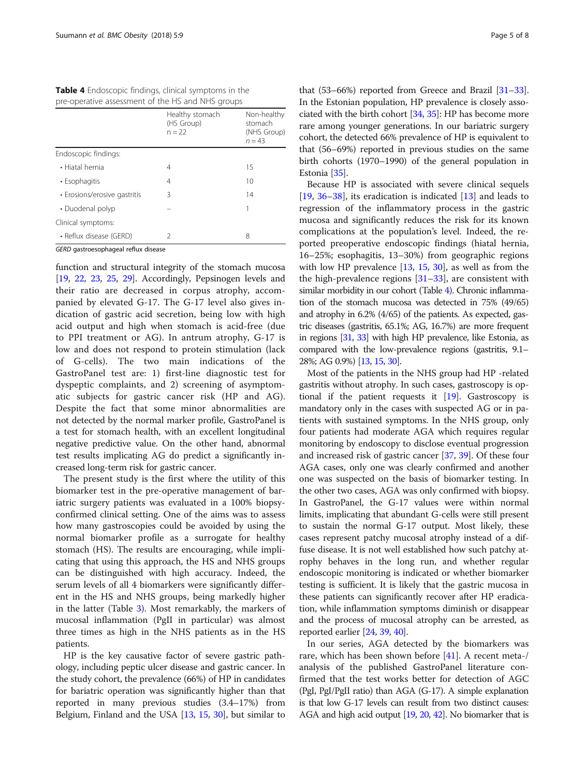<span id="page-4-0"></span>Table 4 Endoscopic findings, clinical symptoms in the pre-operative assessment of the HS and NHS groups

|                              | Healthy stomach<br>(HS Group)<br>$n = 22$ | Non-healthy<br>stomach<br>(NHS Group)<br>$n = 43$ |
|------------------------------|-------------------------------------------|---------------------------------------------------|
| Endoscopic findings:         |                                           |                                                   |
| • Hiatal hernia              | 4                                         | 15                                                |
| • Esophagitis                | 4                                         | 10                                                |
| • Erosions/erosive gastritis | 3                                         | 14                                                |
| • Duodenal polyp             |                                           |                                                   |
| Clinical symptoms:           |                                           |                                                   |
| • Reflux disease (GERD)      | 2                                         | 8                                                 |

GERD gastroesophageal reflux disease

function and structural integrity of the stomach mucosa [[19](#page-7-0), [22,](#page-7-0) [23,](#page-7-0) [25](#page-7-0), [29](#page-7-0)]. Accordingly, Pepsinogen levels and their ratio are decreased in corpus atrophy, accompanied by elevated G-17. The G-17 level also gives indication of gastric acid secretion, being low with high acid output and high when stomach is acid-free (due to PPI treatment or AG). In antrum atrophy, G-17 is low and does not respond to protein stimulation (lack of G-cells). The two main indications of the GastroPanel test are: 1) first-line diagnostic test for dyspeptic complaints, and 2) screening of asymptomatic subjects for gastric cancer risk (HP and AG). Despite the fact that some minor abnormalities are not detected by the normal marker profile, GastroPanel is a test for stomach health, with an excellent longitudinal negative predictive value. On the other hand, abnormal test results implicating AG do predict a significantly increased long-term risk for gastric cancer.

The present study is the first where the utility of this biomarker test in the pre-operative management of bariatric surgery patients was evaluated in a 100% biopsyconfirmed clinical setting. One of the aims was to assess how many gastroscopies could be avoided by using the normal biomarker profile as a surrogate for healthy stomach (HS). The results are encouraging, while implicating that using this approach, the HS and NHS groups can be distinguished with high accuracy. Indeed, the serum levels of all 4 biomarkers were significantly different in the HS and NHS groups, being markedly higher in the latter (Table [3\)](#page-3-0). Most remarkably, the markers of mucosal inflammation (PgII in particular) was almost three times as high in the NHS patients as in the HS patients.

HP is the key causative factor of severe gastric pathology, including peptic ulcer disease and gastric cancer. In the study cohort, the prevalence (66%) of HP in candidates for bariatric operation was significantly higher than that reported in many previous studies (3.4–17%) from Belgium, Finland and the USA [\[13](#page-7-0), [15,](#page-7-0) [30\]](#page-7-0), but similar to

that (53–66%) reported from Greece and Brazil [\[31](#page-7-0)–[33](#page-7-0)]. In the Estonian population, HP prevalence is closely associated with the birth cohort [\[34](#page-7-0), [35](#page-7-0)]: HP has become more rare among younger generations. In our bariatric surgery cohort, the detected 66% prevalence of HP is equivalent to that (56–69%) reported in previous studies on the same birth cohorts (1970–1990) of the general population in Estonia [[35](#page-7-0)].

Because HP is associated with severe clinical sequels [[19,](#page-7-0) [36](#page-7-0)–[38\]](#page-7-0), its eradication is indicated [\[13\]](#page-7-0) and leads to regression of the inflammatory process in the gastric mucosa and significantly reduces the risk for its known complications at the population's level. Indeed, the reported preoperative endoscopic findings (hiatal hernia, 16–25%; esophagitis, 13–30%) from geographic regions with low HP prevalence [\[13](#page-7-0), [15](#page-7-0), [30\]](#page-7-0), as well as from the the high-prevalence regions [[31](#page-7-0)–[33](#page-7-0)], are consistent with similar morbidity in our cohort (Table 4). Chronic inflammation of the stomach mucosa was detected in 75% (49/65) and atrophy in 6.2% (4/65) of the patients. As expected, gastric diseases (gastritis, 65.1%; AG, 16.7%) are more frequent in regions [\[31](#page-7-0), [33\]](#page-7-0) with high HP prevalence, like Estonia, as compared with the low-prevalence regions (gastritis, 9.1– 28%; AG 0.9%) [\[13,](#page-7-0) [15](#page-7-0), [30](#page-7-0)].

Most of the patients in the NHS group had HP -related gastritis without atrophy. In such cases, gastroscopy is optional if the patient requests it [[19](#page-7-0)]. Gastroscopy is mandatory only in the cases with suspected AG or in patients with sustained symptoms. In the NHS group, only four patients had moderate AGA which requires regular monitoring by endoscopy to disclose eventual progression and increased risk of gastric cancer [[37](#page-7-0), [39\]](#page-7-0). Of these four AGA cases, only one was clearly confirmed and another one was suspected on the basis of biomarker testing. In the other two cases, AGA was only confirmed with biopsy. In GastroPanel, the G-17 values were within normal limits, implicating that abundant G-cells were still present to sustain the normal G-17 output. Most likely, these cases represent patchy mucosal atrophy instead of a diffuse disease. It is not well established how such patchy atrophy behaves in the long run, and whether regular endoscopic monitoring is indicated or whether biomarker testing is sufficient. It is likely that the gastric mucosa in these patients can significantly recover after HP eradication, while inflammation symptoms diminish or disappear and the process of mucosal atrophy can be arrested, as reported earlier [\[24,](#page-7-0) [39](#page-7-0), [40\]](#page-7-0).

In our series, AGA detected by the biomarkers was rare, which has been shown before [\[41](#page-7-0)]. A recent meta-/ analysis of the published GastroPanel literature confirmed that the test works better for detection of AGC (PgI, PgI/PgII ratio) than AGA (G-17). A simple explanation is that low G-17 levels can result from two distinct causes: AGA and high acid output [[19,](#page-7-0) [20,](#page-7-0) [42](#page-7-0)]. No biomarker that is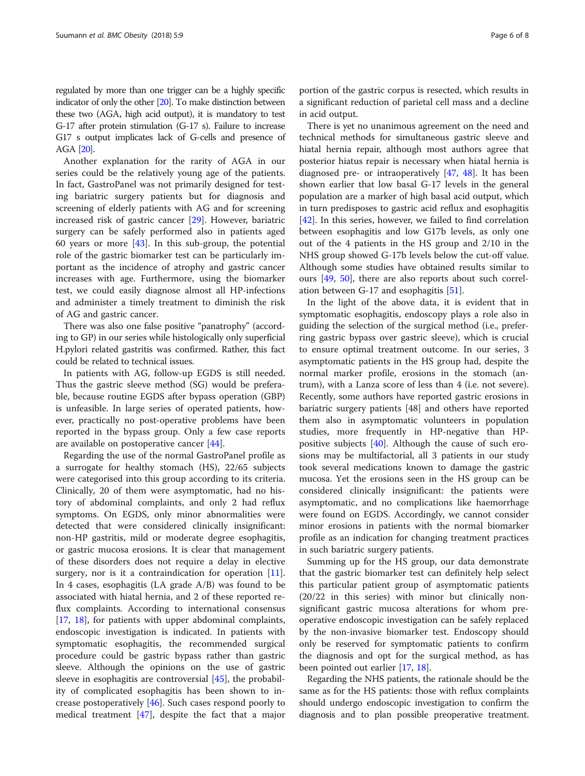regulated by more than one trigger can be a highly specific indicator of only the other [\[20\]](#page-7-0). To make distinction between these two (AGA, high acid output), it is mandatory to test G-17 after protein stimulation (G-17 s). Failure to increase G17 s output implicates lack of G-cells and presence of AGA [[20\]](#page-7-0).

Another explanation for the rarity of AGA in our series could be the relatively young age of the patients. In fact, GastroPanel was not primarily designed for testing bariatric surgery patients but for diagnosis and screening of elderly patients with AG and for screening increased risk of gastric cancer [\[29](#page-7-0)]. However, bariatric surgery can be safely performed also in patients aged 60 years or more [[43](#page-7-0)]. In this sub-group, the potential role of the gastric biomarker test can be particularly important as the incidence of atrophy and gastric cancer increases with age. Furthermore, using the biomarker test, we could easily diagnose almost all HP-infections and administer a timely treatment to diminish the risk of AG and gastric cancer.

There was also one false positive "panatrophy" (according to GP) in our series while histologically only superficial H.pylori related gastritis was confirmed. Rather, this fact could be related to technical issues.

In patients with AG, follow-up EGDS is still needed. Thus the gastric sleeve method (SG) would be preferable, because routine EGDS after bypass operation (GBP) is unfeasible. In large series of operated patients, however, practically no post-operative problems have been reported in the bypass group. Only a few case reports are available on postoperative cancer [[44\]](#page-7-0).

Regarding the use of the normal GastroPanel profile as a surrogate for healthy stomach (HS), 22/65 subjects were categorised into this group according to its criteria. Clinically, 20 of them were asymptomatic, had no history of abdominal complaints, and only 2 had reflux symptoms. On EGDS, only minor abnormalities were detected that were considered clinically insignificant: non-HP gastritis, mild or moderate degree esophagitis, or gastric mucosa erosions. It is clear that management of these disorders does not require a delay in elective surgery, nor is it a contraindication for operation [\[11](#page-6-0)]. In 4 cases, esophagitis (LA grade A/B) was found to be associated with hiatal hernia, and 2 of these reported reflux complaints. According to international consensus [[17,](#page-7-0) [18\]](#page-7-0), for patients with upper abdominal complaints, endoscopic investigation is indicated. In patients with symptomatic esophagitis, the recommended surgical procedure could be gastric bypass rather than gastric sleeve. Although the opinions on the use of gastric sleeve in esophagitis are controversial [[45](#page-7-0)], the probability of complicated esophagitis has been shown to increase postoperatively [[46](#page-7-0)]. Such cases respond poorly to medical treatment  $[47]$  $[47]$ , despite the fact that a major

portion of the gastric corpus is resected, which results in a significant reduction of parietal cell mass and a decline in acid output.

There is yet no unanimous agreement on the need and technical methods for simultaneous gastric sleeve and hiatal hernia repair, although most authors agree that posterior hiatus repair is necessary when hiatal hernia is diagnosed pre- or intraoperatively [[47,](#page-7-0) [48](#page-7-0)]. It has been shown earlier that low basal G-17 levels in the general population are a marker of high basal acid output, which in turn predisposes to gastric acid reflux and esophagitis [[42\]](#page-7-0). In this series, however, we failed to find correlation between esophagitis and low G17b levels, as only one out of the 4 patients in the HS group and 2/10 in the NHS group showed G-17b levels below the cut-off value. Although some studies have obtained results similar to ours [[49,](#page-7-0) [50\]](#page-7-0), there are also reports about such correlation between G-17 and esophagitis [[51](#page-7-0)].

In the light of the above data, it is evident that in symptomatic esophagitis, endoscopy plays a role also in guiding the selection of the surgical method (i.e., preferring gastric bypass over gastric sleeve), which is crucial to ensure optimal treatment outcome. In our series, 3 asymptomatic patients in the HS group had, despite the normal marker profile, erosions in the stomach (antrum), with a Lanza score of less than 4 (i.e. not severe). Recently, some authors have reported gastric erosions in bariatric surgery patients [48] and others have reported them also in asymptomatic volunteers in population studies, more frequently in HP-negative than HPpositive subjects [\[40](#page-7-0)]. Although the cause of such erosions may be multifactorial, all 3 patients in our study took several medications known to damage the gastric mucosa. Yet the erosions seen in the HS group can be considered clinically insignificant: the patients were asymptomatic, and no complications like haemorrhage were found on EGDS. Accordingly, we cannot consider minor erosions in patients with the normal biomarker profile as an indication for changing treatment practices in such bariatric surgery patients.

Summing up for the HS group, our data demonstrate that the gastric biomarker test can definitely help select this particular patient group of asymptomatic patients (20/22 in this series) with minor but clinically nonsignificant gastric mucosa alterations for whom preoperative endoscopic investigation can be safely replaced by the non-invasive biomarker test. Endoscopy should only be reserved for symptomatic patients to confirm the diagnosis and opt for the surgical method, as has been pointed out earlier [\[17](#page-7-0), [18](#page-7-0)].

Regarding the NHS patients, the rationale should be the same as for the HS patients: those with reflux complaints should undergo endoscopic investigation to confirm the diagnosis and to plan possible preoperative treatment.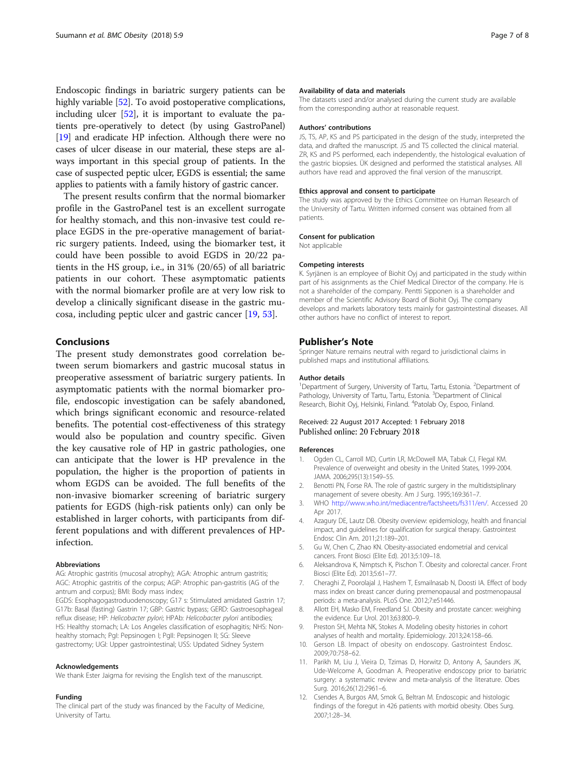<span id="page-6-0"></span>Endoscopic findings in bariatric surgery patients can be highly variable [\[52](#page-7-0)]. To avoid postoperative complications, including ulcer [\[52\]](#page-7-0), it is important to evaluate the patients pre-operatively to detect (by using GastroPanel) [[19](#page-7-0)] and eradicate HP infection. Although there were no cases of ulcer disease in our material, these steps are always important in this special group of patients. In the case of suspected peptic ulcer, EGDS is essential; the same applies to patients with a family history of gastric cancer.

The present results confirm that the normal biomarker profile in the GastroPanel test is an excellent surrogate for healthy stomach, and this non-invasive test could replace EGDS in the pre-operative management of bariatric surgery patients. Indeed, using the biomarker test, it could have been possible to avoid EGDS in 20/22 patients in the HS group, i.e., in 31% (20/65) of all bariatric patients in our cohort. These asymptomatic patients with the normal biomarker profile are at very low risk to develop a clinically significant disease in the gastric mucosa, including peptic ulcer and gastric cancer [\[19](#page-7-0), [53](#page-7-0)].

## Conclusions

The present study demonstrates good correlation between serum biomarkers and gastric mucosal status in preoperative assessment of bariatric surgery patients. In asymptomatic patients with the normal biomarker profile, endoscopic investigation can be safely abandoned, which brings significant economic and resource-related benefits. The potential cost-effectiveness of this strategy would also be population and country specific. Given the key causative role of HP in gastric pathologies, one can anticipate that the lower is HP prevalence in the population, the higher is the proportion of patients in whom EGDS can be avoided. The full benefits of the non-invasive biomarker screening of bariatric surgery patients for EGDS (high-risk patients only) can only be established in larger cohorts, with participants from different populations and with different prevalences of HPinfection.

#### Abbreviations

AG: Atrophic gastritis (mucosal atrophy); AGA: Atrophic antrum gastritis; AGC: Atrophic gastritis of the corpus; AGP: Atrophic pan-gastritis (AG of the antrum and corpus); BMI: Body mass index;

EGDS: Esophagogastroduodenoscopy; G17 s: Stimulated amidated Gastrin 17; G17b: Basal (fasting) Gastrin 17; GBP: Gastric bypass; GERD: Gastroesophageal reflux disease; HP: Helicobacter pylori; HPAb: Helicobacter pylori antibodies; HS: Healthy stomach; LA: Los Angeles classification of esophagitis; NHS: Nonhealthy stomach; PgI: Pepsinogen I; PgII: Pepsinogen II; SG: Sleeve gastrectomy; UGI: Upper gastrointestinal; USS: Updated Sidney System

#### Acknowledgements

We thank Ester Jaigma for revising the English text of the manuscript.

#### Funding

The clinical part of the study was financed by the Faculty of Medicine, University of Tartu.

#### Availability of data and materials

The datasets used and/or analysed during the current study are available from the corresponding author at reasonable request.

#### Authors' contributions

JS, TS, AP, KS and PS participated in the design of the study, interpreted the data, and drafted the manuscript. JS and TS collected the clinical material. ZR, KS and PS performed, each independently, the histological evaluation of the gastric biopsies. ÜK designed and performed the statistical analyses. All authors have read and approved the final version of the manuscript.

#### Ethics approval and consent to participate

The study was approved by the Ethics Committee on Human Research of the University of Tartu. Written informed consent was obtained from all patients.

#### Consent for publication

Not applicable

#### Competing interests

K. Syrjänen is an employee of Biohit Oyj and participated in the study within part of his assignments as the Chief Medical Director of the company. He is not a shareholder of the company. Pentti Sipponen is a shareholder and member of the Scientific Advisory Board of Biohit Oyj. The company develops and markets laboratory tests mainly for gastrointestinal diseases. All other authors have no conflict of interest to report.

## Publisher's Note

Springer Nature remains neutral with regard to jurisdictional claims in published maps and institutional affiliations.

#### Author details

<sup>1</sup>Department of Surgery, University of Tartu, Tartu, Estonia. <sup>2</sup>Department of Pathology, University of Tartu, Tartu, Estonia. <sup>3</sup>Department of Clinical Research, Biohit Oyj, Helsinki, Finland. <sup>4</sup>Patolab Oy, Espoo, Finland

## Received: 22 August 2017 Accepted: 1 February 2018 Published online: 20 February 2018

#### References

- 1. Ogden CL, Carroll MD, Curtin LR, McDowell MA, Tabak CJ, Flegal KM. Prevalence of overweight and obesity in the United States, 1999-2004. JAMA. 2006;295(13):1549–55.
- 2. Benotti PN, Forse RA. The role of gastric surgery in the multidistsiplinary management of severe obesity. Am J Surg. 1995;169:361–7.
- 3. WHO <http://www.who.int/mediacentre/factsheets/fs311/en/>. Accessed 20 Apr 2017.
- 4. Azagury DE, Lautz DB. Obesity overview: epidemiology, health and financial impact, and guidelines for qualification for surgical therapy. Gastrointest Endosc Clin Am. 2011;21:189–201.
- 5. Gu W, Chen C, Zhao KN. Obesity-associated endometrial and cervical cancers. Front Biosci (Elite Ed). 2013;5:109–18.
- 6. Aleksandrova K, Nimptsch K, Pischon T. Obesity and colorectal cancer. Front Biosci (Elite Ed). 2013;5:61–77.
- 7. Cheraghi Z, Poorolajal J, Hashem T, Esmailnasab N, Doosti IA. Effect of body mass index on breast cancer during premenopausal and postmenopausal periods: a meta-analysis. PLoS One. 2012;7:e51446.
- 8. Allott EH, Masko EM, Freedland SJ. Obesity and prostate cancer: weighing the evidence. Eur Urol. 2013;63:800–9.
- 9. Preston SH, Mehta NK, Stokes A. Modeling obesity histories in cohort analyses of health and mortality. Epidemiology. 2013;24:158–66.
- 10. Gerson LB. Impact of obesity on endoscopy. Gastrointest Endosc. 2009;70:758–62.
- 11. Parikh M, Liu J, Vieira D, Tzimas D, Horwitz D, Antony A, Saunders JK, Ude-Welcome A, Goodman A. Preoperative endoscopy prior to bariatric surgery: a systematic review and meta-analysis of the literature. Obes Surg. 2016;26(12):2961–6.
- 12. Csendes A, Burgos AM, Smok G, Beltran M. Endoscopic and histologic findings of the foregut in 426 patients with morbid obesity. Obes Surg. 2007;1:28–34.